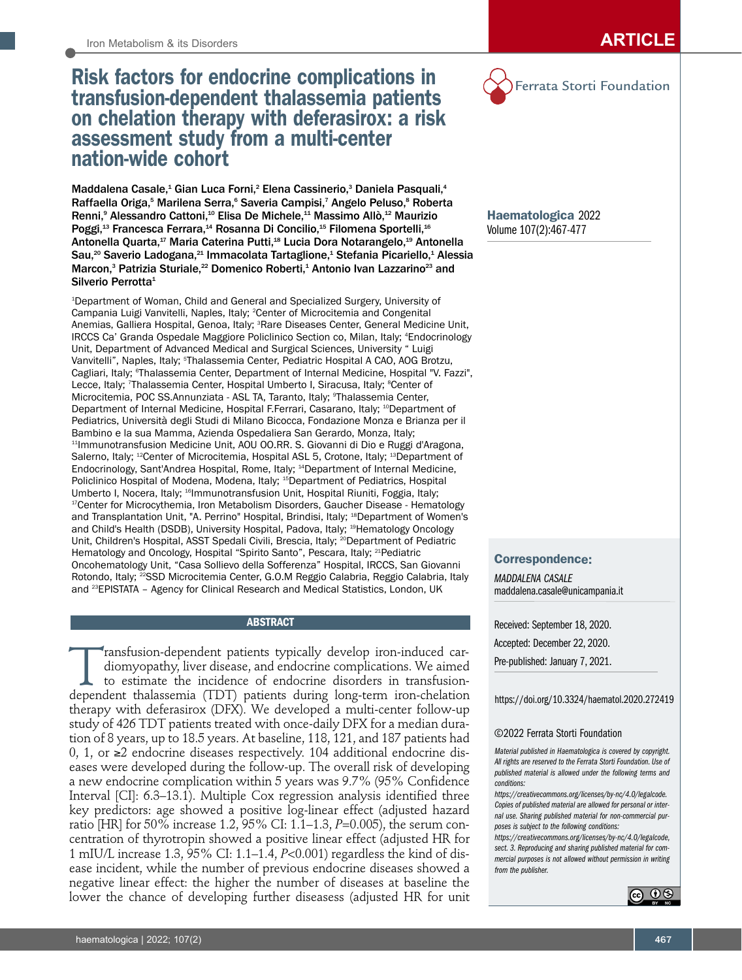# Risk factors for endocrine complications in transfusion-dependent thalassemia patients on chelation therapy with deferasirox: a risk assessment study from a multi-center nation-wide cohort

Maddalena Casale,<sup>1</sup> Gian Luca Forni,<sup>2</sup> Elena Cassinerio,<sup>3</sup> Daniela Pasquali,<sup>4</sup> Raffaella Origa,<sup>5</sup> Marilena Serra,<sup>6</sup> Saveria Campisi,<sup>7</sup> Angelo Peluso,<sup>8</sup> Roberta Renni,<sup>9</sup> Alessandro Cattoni,<sup>10</sup> Elisa De Michele,<sup>11</sup> Massimo Allò,<sup>12</sup> Maurizio Poggi,<sup>13</sup> Francesca Ferrara,<sup>14</sup> Rosanna Di Concilio,<sup>15</sup> Filomena Sportelli,<sup>16</sup> Antonella Quarta,<sup>17</sup> Maria Caterina Putti,<sup>18</sup> Lucia Dora Notarangelo,<sup>19</sup> Antonella Sau,<sup>20</sup> Saverio Ladogana,<sup>21</sup> Immacolata Tartaglione,<sup>1</sup> Stefania Picariello,<sup>1</sup> Alessia Marcon,<sup>3</sup> Patrizia Sturiale,<sup>22</sup> Domenico Roberti,<sup>1</sup> Antonio Ivan Lazzarino<sup>23</sup> and Silverio Perrotta<sup>1</sup>

1 Department of Woman, Child and General and Specialized Surgery, University of Campania Luigi Vanvitelli, Naples, Italy; <sup>2</sup>Center of Microcitemia and Congenital Anemias, Galliera Hospital, Genoa, Italy; <sup>3</sup>Rare Diseases Center, General Medicine Unit, IRCCS Ca' Granda Ospedale Maggiore Policlinico Section co, Milan, Italy; <sup>4</sup>Endocrinology Unit, Department of Advanced Medical and Surgical Sciences, University " Luigi Vanvitelli", Naples, Italy; <sup>s</sup>Thalassemia Center, Pediatric Hospital A CAO, AOG Brotzu, Cagliari, Italy; <sup>e</sup>Thalassemia Center, Department of Internal Medicine, Hospital "V. Fazzi", Lecce, Italy; <sup>7</sup>Thalassemia Center, Hospital Umberto I, Siracusa, Italy; <sup>8</sup>Center of Microcitemia, POC SS.Annunziata - ASL TA, Taranto, Italy; <sup>9</sup>Thalassemia Center, Department of Internal Medicine, Hospital F.Ferrari, Casarano, Italy; 10Department of Pediatrics, Università degli Studi di Milano Bicocca, Fondazione Monza e Brianza per il Bambino e la sua Mamma, Azienda Ospedaliera San Gerardo, Monza, Italy; <sup>11</sup>Immunotransfusion Medicine Unit, AOU OO.RR. S. Giovanni di Dio e Ruggi d'Aragona, Salerno, Italy; <sup>12</sup>Center of Microcitemia, Hospital ASL 5, Crotone, Italy; <sup>13</sup>Department of Endocrinology, Sant'Andrea Hospital, Rome, Italy; 14Department of Internal Medicine, Policlinico Hospital of Modena, Modena, Italy; <sup>15</sup>Department of Pediatrics, Hospital<br>Umberto I, Nocera, Italy; <sup>16</sup>lmmunotransfusion Unit, Hospital Riuniti, Foggia, Italy; <sup>17</sup>Center for Microcythemia, Iron Metabolism Disorders, Gaucher Disease - Hematology and Transplantation Unit, "A. Perrino" Hospital, Brindisi, Italy; 18Department of Women's and Child's Health (DSDB), University Hospital, Padova, Italy; <sup>19</sup>Hematology Oncology Unit, Children's Hospital, ASST Spedali Civili, Brescia, Italy; <sup>20</sup>Department of Pediatric Hematology and Oncology, Hospital "Spirito Santo", Pescara, Italy; <sup>21</sup>Pediatric Oncohematology Unit, "Casa Sollievo della Sofferenza" Hospital, IRCCS, San Giovanni Rotondo, Italy; <sup>22</sup>SSD Microcitemia Center, G.O.M Reggio Calabria, Reggio Calabria, Italy and 23EPISTATA – Agency for Clinical Research and Medical Statistics, London, UK

# **ABSTRACT**

Transfusion-dependent patients typically develop iron-induced car-<br>diomyopathy, liver disease, and endocrine complications. We aimed<br>to estimate the incidence of endocrine disorders in transfusion-<br>dependent thalassemia (T diomyopathy, liver disease, and endocrine complications. We aimed to estimate the incidence of endocrine disorders in transfusiondependent thalassemia (TDT) patients during long-term iron-chelation therapy with deferasirox (DFX). We developed a multi-center follow-up study of 426 TDT patients treated with once-daily DFX for a median duration of 8 years, up to 18.5 years. At baseline, 118, 121, and 187 patients had 0, 1, or  $≥2$  endocrine diseases respectively. 104 additional endocrine diseases were developed during the follow-up. The overall risk of developing a new endocrine complication within 5 years was 9.7% (95% Confidence Interval [CI]: 6.3–13.1). Multiple Cox regression analysis identified three key predictors: age showed a positive log-linear effect (adjusted hazard ratio [HR] for 50% increase 1.2, 95% CI: 1.1–1.3, *P*=0.005), the serum concentration of thyrotropin showed a positive linear effect (adjusted HR for 1 mIU/L increase 1.3, 95% CI: 1.1–1.4, *P*<0.001) regardless the kind of disease incident, while the number of previous endocrine diseases showed a negative linear effect: the higher the number of diseases at baseline the lower the chance of developing further diseasess (adjusted HR for unit



Haematologica 2022 Volume 107(2):467-477

## Correspondence:

*MADDALENA CASALE* maddalena.casale@unicampania.it

Received: September 18, 2020. Accepted: December 22, 2020. Pre-published: January 7, 2021.

### https://doi.org/10.3324/haematol.2020.272419

#### ©2022 Ferrata Storti Foundation

*Material published in Haematologica is covered by copyright. All rights are reserved to the Ferrata Storti Foundation. Use of published material is allowed under the following terms and conditions:* 

*https://creativecommons.org/licenses/by-nc/4.0/legalcode. Copies of published material are allowed for personal or internal use. Sharing published material for non-commercial purposes is subject to the following conditions:* 

*https://creativecommons.org/licenses/by-nc/4.0/legalcode, sect. 3. Reproducing and sharing published material for commercial purposes is not allowed without permission in writing from the publisher.*

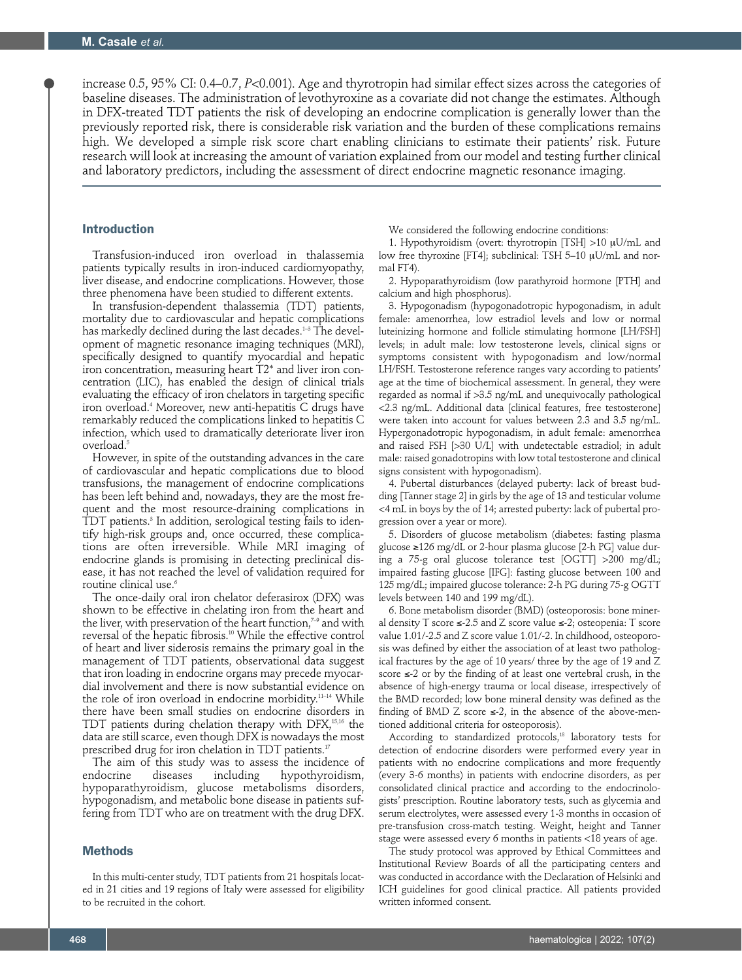increase 0.5, 95% CI: 0.4–0.7, *P*<0.001). Age and thyrotropin had similar effect sizes across the categories of baseline diseases. The administration of levothyroxine as a covariate did not change the estimates. Although in DFX-treated TDT patients the risk of developing an endocrine complication is generally lower than the previously reported risk, there is considerable risk variation and the burden of these complications remains high. We developed a simple risk score chart enabling clinicians to estimate their patients' risk. Future research will look at increasing the amount of variation explained from our model and testing further clinical and laboratory predictors, including the assessment of direct endocrine magnetic resonance imaging.

# Introduction

Transfusion-induced iron overload in thalassemia patients typically results in iron-induced cardiomyopathy, liver disease, and endocrine complications. However, those three phenomena have been studied to different extents.

In transfusion-dependent thalassemia (TDT) patients, mortality due to cardiovascular and hepatic complications has markedly declined during the last decades.<sup>1-3</sup> The development of magnetic resonance imaging techniques (MRI), specifically designed to quantify myocardial and hepatic iron concentration, measuring heart T2\* and liver iron concentration (LIC), has enabled the design of clinical trials evaluating the efficacy of iron chelators in targeting specific iron overload.4 Moreover, new anti-hepatitis C drugs have remarkably reduced the complications linked to hepatitis C infection, which used to dramatically deteriorate liver iron overload.5

However, in spite of the outstanding advances in the care of cardiovascular and hepatic complications due to blood transfusions, the management of endocrine complications has been left behind and, nowadays, they are the most frequent and the most resource-draining complications in TDT patients.3 In addition, serological testing fails to identify high-risk groups and, once occurred, these complications are often irreversible. While MRI imaging of endocrine glands is promising in detecting preclinical disease, it has not reached the level of validation required for routine clinical use.6

The once-daily oral iron chelator deferasirox (DFX) was shown to be effective in chelating iron from the heart and the liver, with preservation of the heart function, $7-9$  and with reversal of the hepatic fibrosis.10 While the effective control of heart and liver siderosis remains the primary goal in the management of TDT patients, observational data suggest that iron loading in endocrine organs may precede myocardial involvement and there is now substantial evidence on the role of iron overload in endocrine morbidity.11–14 While there have been small studies on endocrine disorders in TDT patients during chelation therapy with DFX,15,16 the data are still scarce, even though DFX is nowadays the most prescribed drug for iron chelation in TDT patients.<sup>17</sup>

The aim of this study was to assess the incidence of endocrine diseases including hypothyroidism, hypothyroidism, hypoparathyroidism, glucose metabolisms disorders, hypogonadism, and metabolic bone disease in patients suffering from TDT who are on treatment with the drug DFX.

#### Methods

In this multi-center study, TDT patients from 21 hospitals located in 21 cities and 19 regions of Italy were assessed for eligibility to be recruited in the cohort.

We considered the following endocrine conditions:

1. Hypothyroidism (overt: thyrotropin [TSH] >10 mU/mL and low free thyroxine [FT4]; subclinical: TSH 5-10 µU/mL and normal FT4).

2. Hypoparathyroidism (low parathyroid hormone [PTH] and calcium and high phosphorus).

3. Hypogonadism (hypogonadotropic hypogonadism, in adult female: amenorrhea, low estradiol levels and low or normal luteinizing hormone and follicle stimulating hormone [LH/FSH] levels; in adult male: low testosterone levels, clinical signs or symptoms consistent with hypogonadism and low/normal LH/FSH. Testosterone reference ranges vary according to patients' age at the time of biochemical assessment. In general, they were regarded as normal if >3.5 ng/mL and unequivocally pathological <2.3 ng/mL. Additional data [clinical features, free testosterone] were taken into account for values between 2.3 and 3.5 ng/mL. Hypergonadotropic hypogonadism, in adult female: amenorrhea and raised FSH [>30 U/L] with undetectable estradiol; in adult male: raised gonadotropins with low total testosterone and clinical signs consistent with hypogonadism).

4. Pubertal disturbances (delayed puberty: lack of breast budding [Tanner stage 2] in girls by the age of 13 and testicular volume <4 mL in boys by the of 14; arrested puberty: lack of pubertal progression over a year or more).

5. Disorders of glucose metabolism (diabetes: fasting plasma glucose ≥126 mg/dL or 2-hour plasma glucose [2-h PG] value during a 75-g oral glucose tolerance test [OGTT] >200 mg/dL; impaired fasting glucose [IFG]: fasting glucose between 100 and 125 mg/dL; impaired glucose tolerance: 2-h PG during 75-g OGTT levels between 140 and 199 mg/dL).

6. Bone metabolism disorder (BMD) (osteoporosis: bone mineral density T score ≤-2.5 and Z score value ≤-2; osteopenia: T score value 1.01/-2.5 and Z score value 1.01/-2. In childhood, osteoporosis was defined by either the association of at least two pathological fractures by the age of 10 years/ three by the age of 19 and Z score ≤-2 or by the finding of at least one vertebral crush, in the absence of high-energy trauma or local disease, irrespectively of the BMD recorded; low bone mineral density was defined as the finding of BMD Z score  $\leq$ -2, in the absence of the above-mentioned additional criteria for osteoporosis).

According to standardized protocols,<sup>18</sup> laboratory tests for detection of endocrine disorders were performed every year in patients with no endocrine complications and more frequently (every 3-6 months) in patients with endocrine disorders, as per consolidated clinical practice and according to the endocrinologists' prescription. Routine laboratory tests, such as glycemia and serum electrolytes, were assessed every 1-3 months in occasion of pre-transfusion cross-match testing. Weight, height and Tanner stage were assessed every 6 months in patients <18 years of age.

The study protocol was approved by Ethical Committees and Institutional Review Boards of all the participating centers and was conducted in accordance with the Declaration of Helsinki and ICH guidelines for good clinical practice. All patients provided written informed consent.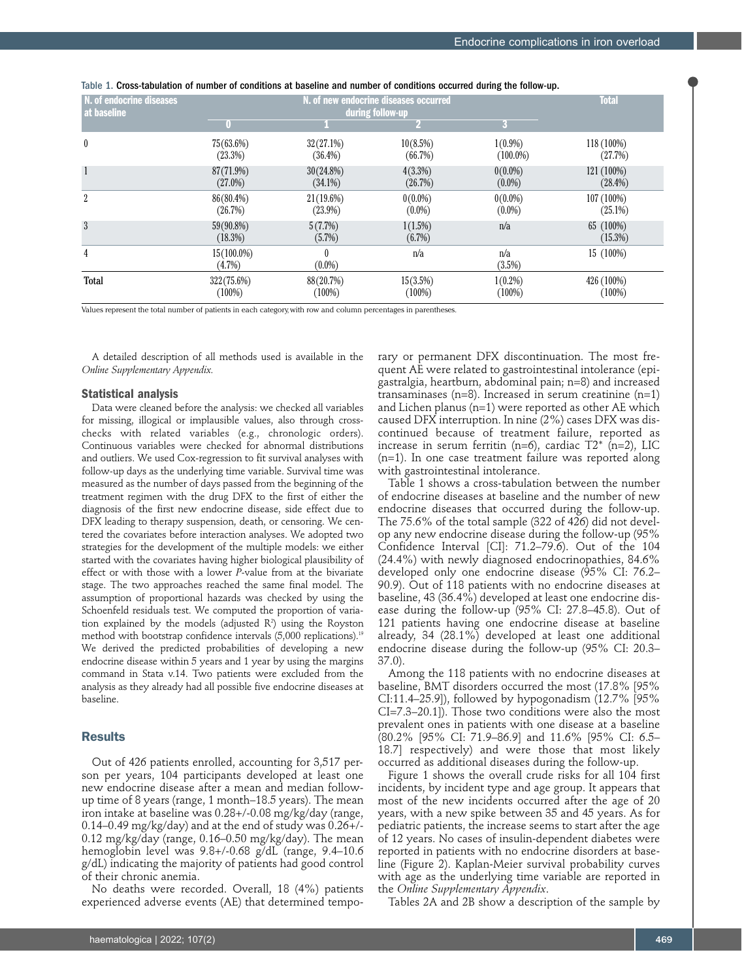|  |  |  |  |  |  |  |  | Table 1. Cross-tabulation of number of conditions at baseline and number of conditions occurred during the follow-up. |  |
|--|--|--|--|--|--|--|--|-----------------------------------------------------------------------------------------------------------------------|--|
|--|--|--|--|--|--|--|--|-----------------------------------------------------------------------------------------------------------------------|--|

| N. of endocrine diseases<br>at baseline |                            | <b>Total</b>          |                      |               |                         |
|-----------------------------------------|----------------------------|-----------------------|----------------------|---------------|-------------------------|
|                                         |                            |                       | during follow-up     | 3             |                         |
| $\boldsymbol{0}$                        | $75(63.6\%)$               | 32(27.1%)             | 10(8.5%)             | $1(0.9\%)$    | 118 (100%)              |
|                                         | (23.3%)                    | $(36.4\%)$            | (66.7%)              | $(100.0\%)$   | (27.7%)                 |
| $\mathbf{1}$                            | 87(71.9%)                  | $30(24.8\%)$          | $4(3.3\%)$           | $0(0.0\%)$    | 121 (100%)              |
|                                         | $(27.0\%)$                 | $(34.1\%)$            | (26.7%)              | $(0.0\%)$     | $(28.4\%)$              |
| $\overline{2}$                          | 86(80.4%)                  | $21(19.6\%)$          | $0(0.0\%)$           | $0(0.0\%)$    | 107 (100%)              |
|                                         | (26.7%)                    | $(23.9\%)$            | $(0.0\%)$            | $(0.0\%)$     | $(25.1\%)$              |
| 3                                       | 59(90.8%)<br>(18.3%)       | 5(7.7%)<br>(5.7%)     | $1(1.5\%)$<br>(6.7%) | n/a           | 65 (100%)<br>$(15.3\%)$ |
| 4                                       | $15(100.0\%)$<br>$(4.7\%)$ | $\theta$<br>$(0.0\%)$ | n/a                  | n/a<br>(3.5%) | 15 (100%)               |
| Total                                   | 322 (75.6%)                | 88(20.7%)             | 15(3.5%)             | $1(0.2\%)$    | 426 (100%)              |
|                                         | $(100\%)$                  | $(100\%)$             | (100%)               | $(100\%)$     | $(100\%)$               |

Values represent the total number of patients in each category, with row and column percentages in parentheses.

A detailed description of all methods used is available in the *Online Supplementary Appendix.*

#### **Statistical analysis**

Data were cleaned before the analysis: we checked all variables for missing, illogical or implausible values, also through crosschecks with related variables (e.g., chronologic orders). Continuous variables were checked for abnormal distributions and outliers. We used Cox-regression to fit survival analyses with follow-up days as the underlying time variable. Survival time was measured as the number of days passed from the beginning of the treatment regimen with the drug DFX to the first of either the diagnosis of the first new endocrine disease, side effect due to DFX leading to therapy suspension, death, or censoring. We centered the covariates before interaction analyses. We adopted two strategies for the development of the multiple models: we either started with the covariates having higher biological plausibility of effect or with those with a lower *P*-value from at the bivariate stage. The two approaches reached the same final model. The assumption of proportional hazards was checked by using the Schoenfeld residuals test. We computed the proportion of variation explained by the models (adjusted  $\mathsf{R}^2$ ) using the Royston method with bootstrap confidence intervals (5,000 replications).<sup>19</sup> We derived the predicted probabilities of developing a new endocrine disease within 5 years and 1 year by using the margins command in Stata v.14. Two patients were excluded from the analysis as they already had all possible five endocrine diseases at baseline.

#### Results

Out of 426 patients enrolled, accounting for 3,517 person per years, 104 participants developed at least one new endocrine disease after a mean and median followup time of 8 years (range, 1 month–18.5 years). The mean iron intake at baseline was 0.28+/-0.08 mg/kg/day (range, 0.14–0.49 mg/kg/day) and at the end of study was 0.26+/- 0.12 mg/kg/day (range, 0.16–0.50 mg/kg/day). The mean hemoglobin level was 9.8+/-0.68 g/dL (range, 9.4–10.6 g/dL) indicating the majority of patients had good control of their chronic anemia.

No deaths were recorded. Overall, 18 (4%) patients experienced adverse events (AE) that determined temporary or permanent DFX discontinuation. The most frequent AE were related to gastrointestinal intolerance (epigastralgia, heartburn, abdominal pain; n=8) and increased transaminases (n=8). Increased in serum creatinine (n=1) and Lichen planus (n=1) were reported as other AE which caused DFX interruption. In nine (2%) cases DFX was discontinued because of treatment failure, reported as increase in serum ferritin (n=6), cardiac  $T2^*$  (n=2), LIC (n=1). In one case treatment failure was reported along with gastrointestinal intolerance.

Table 1 shows a cross-tabulation between the number of endocrine diseases at baseline and the number of new endocrine diseases that occurred during the follow-up. The 75.6% of the total sample (322 of 426) did not develop any new endocrine disease during the follow-up (95% Confidence Interval [CI]: 71.2–79.6). Out of the 104 (24.4%) with newly diagnosed endocrinopathies, 84.6% developed only one endocrine disease (95% CI: 76.2– 90.9). Out of 118 patients with no endocrine diseases at baseline, 43 (36.4%) developed at least one endocrine disease during the follow-up (95% CI: 27.8–45.8). Out of 121 patients having one endocrine disease at baseline already, 34 (28.1%) developed at least one additional endocrine disease during the follow-up (95% CI: 20.3– 37.0).

Among the 118 patients with no endocrine diseases at baseline, BMT disorders occurred the most (17.8% [95% CI:11.4–25.9]), followed by hypogonadism (12.7% [95% CI=7.3–20.1]). Those two conditions were also the most prevalent ones in patients with one disease at a baseline (80.2% [95% CI: 71.9–86.9] and 11.6% [95% CI: 6.5– 18.7] respectively) and were those that most likely occurred as additional diseases during the follow-up.

Figure 1 shows the overall crude risks for all 104 first incidents, by incident type and age group. It appears that most of the new incidents occurred after the age of 20 years, with a new spike between 35 and 45 years. As for pediatric patients, the increase seems to start after the age of 12 years. No cases of insulin-dependent diabetes were reported in patients with no endocrine disorders at baseline (Figure 2). Kaplan-Meier survival probability curves with age as the underlying time variable are reported in the *Online Supplementary Appendix*.

Tables 2A and 2B show a description of the sample by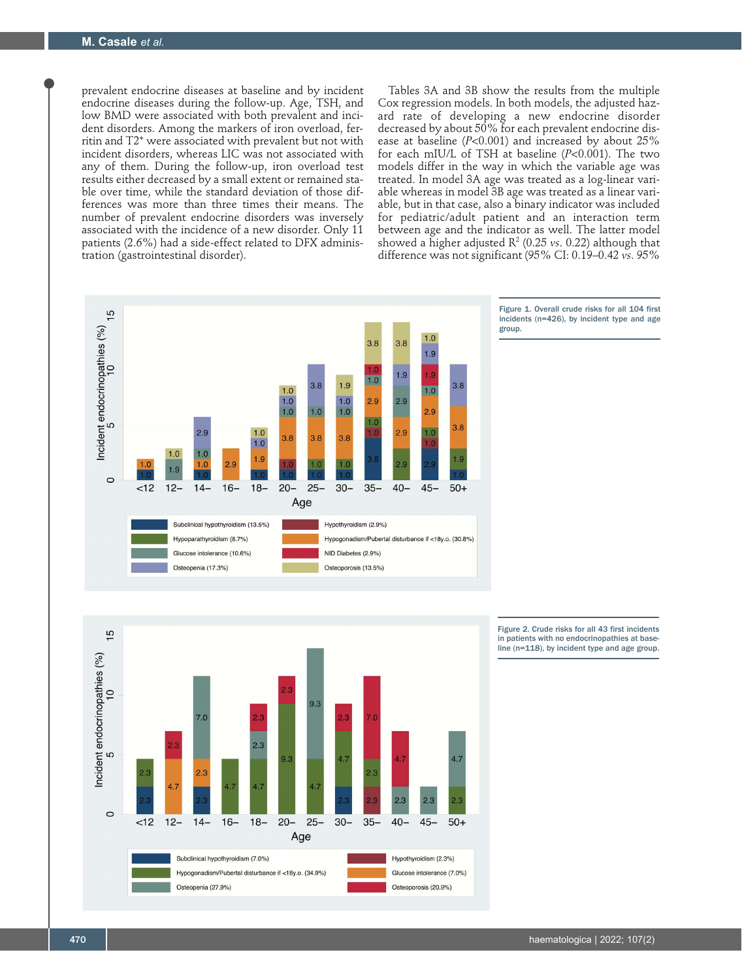prevalent endocrine diseases at baseline and by incident endocrine diseases during the follow-up. Age, TSH, and low BMD were associated with both prevalent and incident disorders. Among the markers of iron overload, ferritin and T2\* were associated with prevalent but not with incident disorders, whereas LIC was not associated with any of them. During the follow-up, iron overload test results either decreased by a small extent or remained stable over time, while the standard deviation of those differences was more than three times their means. The number of prevalent endocrine disorders was inversely associated with the incidence of a new disorder. Only 11 patients (2.6%) had a side-effect related to DFX administration (gastrointestinal disorder).

Tables 3A and 3B show the results from the multiple Cox regression models. In both models, the adjusted hazard rate of developing a new endocrine disorder decreased by about 50% for each prevalent endocrine disease at baseline (*P*<0.001) and increased by about 25% for each mIU/L of TSH at baseline (*P*<0.001). The two models differ in the way in which the variable age was treated. In model 3A age was treated as a log-linear variable whereas in model 3B age was treated as a linear variable, but in that case, also a binary indicator was included for pediatric/adult patient and an interaction term between age and the indicator as well. The latter model showed a higher adjusted  $\mathbb{R}^2$  (0.25 *vs*. 0.22) although that difference was not significant (95% CI: 0.19–0.42 *vs*. 95%







Figure 2. Crude risks for all 43 first incidents in patients with no endocrinopathies at base-line (n=118), by incident type and age group.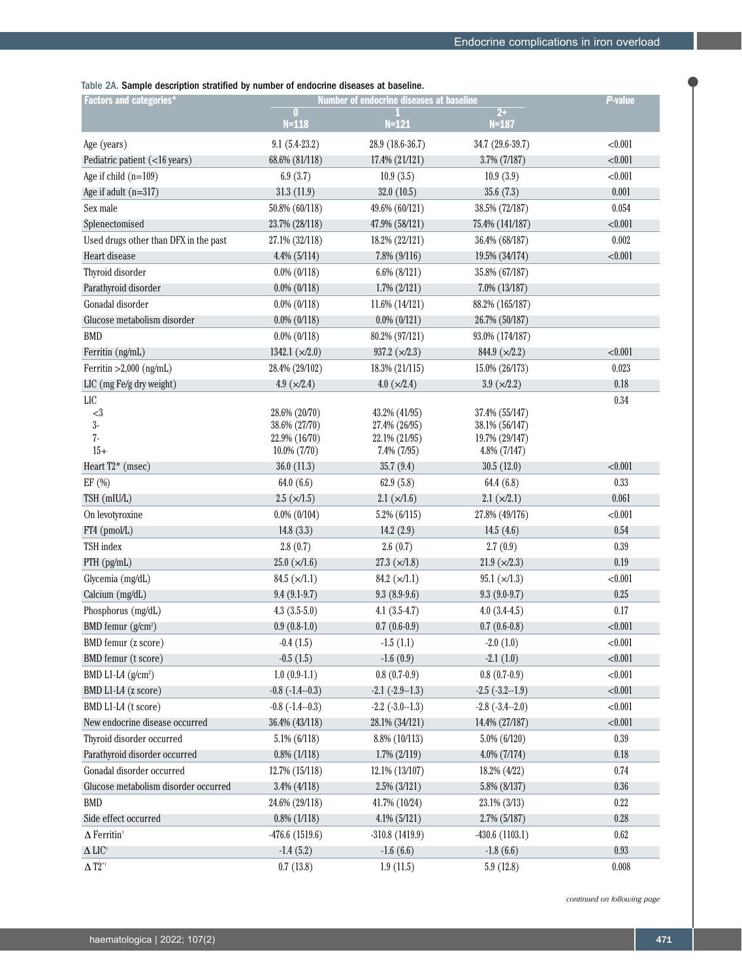Table 2A. Sample description stratified by number of endocrine diseases at baseline.

| <b>Factors and categories*</b>        |                          | <b>Number of endocrine diseases at baseline</b> | <b>P-value</b>          |          |
|---------------------------------------|--------------------------|-------------------------------------------------|-------------------------|----------|
|                                       | 0<br>$N = 118$           | $N = 121$                                       | $2+$<br>$N = 187$       |          |
| Age (years)                           | $9.1(5.4-23.2)$          | 28.9 (18.6-36.7)                                | 34.7 (29.6-39.7)        | < 0.001  |
| Pediatric patient (<16 years)         | 68.6% (81/118)           | 17.4% (21/121)                                  | 3.7% (7/187)            | < 0.001  |
| Age if child $(n=109)$                | 6.9(3.7)                 | 10.9(3.5)                                       | 10.9(3.9)               | < 0.001  |
| Age if adult $(n=317)$                | 31.3(11.9)               | 32.0(10.5)                                      | 35.6(7.3)               | 0.001    |
| Sex male                              | 50.8% (60/118)           | 49.6% (60/121)                                  | 38.5% (72/187)          | 0.054    |
| Splenectomised                        | 23.7% (28/118)           | 47.9% (58/121)                                  | 75.4% (141/187)         | < 0.001  |
| Used drugs other than DFX in the past | 27.1% (32/118)           | 18.2% (22/121)                                  | 36.4% (68/187)          | 0.002    |
| Heart disease                         | $4.4\%$ (5/114)          | 7.8% (9/116)                                    | 19.5% (34/174)          | < 0.001  |
| Thyroid disorder                      | $0.0\%$ (0/118)          | 6.6% (8/121)                                    | 35.8% (67/187)          |          |
| Parathyroid disorder                  | $0.0\%$ $(0/118)$        | $1.7\% (2/121)$                                 | 7.0% (13/187)           |          |
| Gonadal disorder                      | $0.0\%$ (0/118)          | 11.6% (14/121)                                  | 88.2% (165/187)         |          |
| Glucose metabolism disorder           | $0.0\%$ $(0/118)$        | $0.0\%$ $(0/121)$                               | 26.7% (50/187)          |          |
| <b>BMD</b>                            | $0.0\%$ (0/118)          | 80.2% (97/121)                                  | 93.0% (174/187)         |          |
| Ferritin (ng/mL)                      | 1342.1 $(\times/2.0)$    | 937.2 $(\times/2.3)$                            | 844.9 $(\times/2.2)$    | < 0.001  |
| Ferritin $>2,000$ (ng/mL)             | 28.4% (29/102)           | 18.3% (21/115)                                  | 15.0% (26/173)          | 0.023    |
| LIC (mg Fe/g dry weight)              | 4.9 $(\times/2.4)$       | $4.0 \; (\times/2.4)$                           | $3.9 \; (\times / 2.2)$ | 0.18     |
| LIC                                   |                          |                                                 |                         | 0.34     |
| $<3\,$                                | 28.6% (20/70)            | 43.2% (41/95)                                   | 37.4% (55/147)          |          |
| $3-$                                  | 38.6% (27/70)            | 27.4% (26/95)                                   | 38.1% (56/147)          |          |
| $7-$                                  | 22.9% (16/70)            | 22.1% (21/95)                                   | 19.7% (29/147)          |          |
| $15+$                                 | 10.0% (7/70)             | $7.4\%$ $(7/95)$                                | $4.8\%$ (7/147)         |          |
| Heart $T2^*$ (msec)                   | 36.0(11.3)               | 35.7(9.4)                                       | 30.5(12.0)              | < 0.001  |
| EF (%)                                | 64.0(6.6)                | 62.9(5.8)                                       | 64.4 (6.8)              | 0.33     |
| TSH (mIU/L)                           | $2.5 \; (\times 1.5)$    | $2.1 \times (1.6)$                              | 2.1 (x/2.1)             | 0.061    |
| On levotyroxine                       | $0.0\%$ (0/104)          | 5.2% (6/115)                                    | 27.8% (49/176)          | < 0.001  |
| FT4 (pmol/L)                          | 14.8(3.3)                | 14.2(2.9)                                       | 14.5(4.6)               | 0.54     |
| TSH index                             | 2.8(0.7)                 | 2.6(0.7)                                        | 2.7(0.9)                | 0.39     |
| PTH (pg/mL)                           | $25.0 \; (\times / 1.6)$ | $27.3 \ (\times / 1.8)$                         | $21.9 \ (\times 2.3)$   | 0.19     |
| Glycemia (mg/dL)                      | $84.5 \; (\times / 1.1)$ | 84.2 $(\times/1.1)$                             | $95.1 \times (1.3)$     | < 0.001  |
| Calcium (mg/dL)                       | $9.4(9.1-9.7)$           | $9.3(8.9-9.6)$                                  | $9.3(9.0-9.7)$          | 0.25     |
| Phosphorus (mg/dL)                    | $4.3(3.5-5.0)$           | $4.1(3.5-4.7)$                                  | $4.0(3.4-4.5)$          | 0.17     |
| BMD femur (g/cm <sup>2</sup> )        | $0.9(0.8-1.0)$           | $0.7(0.6-0.9)$                                  | $0.7(0.6-0.8)$          | < 0.001  |
| BMD femur (z score)                   | $-0.4(1.5)$              | $-1.5(1.1)$                                     | $-2.0(1.0)$             | < 0.001  |
| BMD femur (t score)                   | $-0.5(1.5)$              | $-1.6(0.9)$                                     | $-2.1(1.0)$             | < 0.001  |
| BMD L1-L4 $(g/cm^2)$                  | $1.0(0.9-1.1)$           | $0.8(0.7-0.9)$                                  | $0.8(0.7-0.9)$          | < 0.001  |
| BMD L1-L4 (z score)                   | $-0.8$ $(-1.4-0.3)$      | $-2.1$ $(-2.9 - 1.3)$                           | $-2.5$ $(-3.2 - 1.9)$   | < 0.001  |
| BMD L1-L4 (t score)                   | $-0.8$ $(-1.4-0.3)$      | $-2.2$ $(-3.0 - 1.3)$                           | $-2.8$ $(-3.4-2.0)$     | < 0.001  |
| New endocrine disease occurred        | 36.4% (43/118)           | 28.1% (34/121)                                  | 14.4% (27/187)          | < 0.001  |
| Thyroid disorder occurred             | 5.1% (6/118)             | 8.8% (10/113)                                   | 5.0% (6/120)            | $0.39\,$ |
| Parathyroid disorder occurred         | $0.8\%$ (1/118)          | $1.7\%$ $(2/119)$                               | 4.0% (7/174)            | 0.18     |
| Gonadal disorder occurred             | 12.7% (15/118)           | 12.1% (13/107)                                  | 18.2% (4/22)            | 0.74     |
| Glucose metabolism disorder occurred  | $3.4\%$ (4/118)          | $2.5\%$ (3/121)                                 | 5.8% (8/137)            | 0.36     |
| <b>BMD</b>                            | 24.6% (29/118)           | 41.7% (10/24)                                   | 23.1% (3/13)            | 0.22     |
| Side effect occurred                  | $0.8\%$ (1/118)          | $4.1\%$ (5/121)                                 | 2.7% (5/187)            | 0.28     |
| $\Delta$ Ferritin <sup>†</sup>        | $-476.6(1519.6)$         | $-310.8$ (1419.9)                               | $-430.6(1103.1)$        | 0.62     |
| $\Delta$ LIC†                         | $-1.4(5.2)$              | $-1.6(6.6)$                                     | $-1.8(6.6)$             | 0.93     |
| $\Delta$ T2**                         | 0.7(13.8)                | 1.9(11.5)                                       | 5.9(12.8)               | 0.008    |

*continued on following page*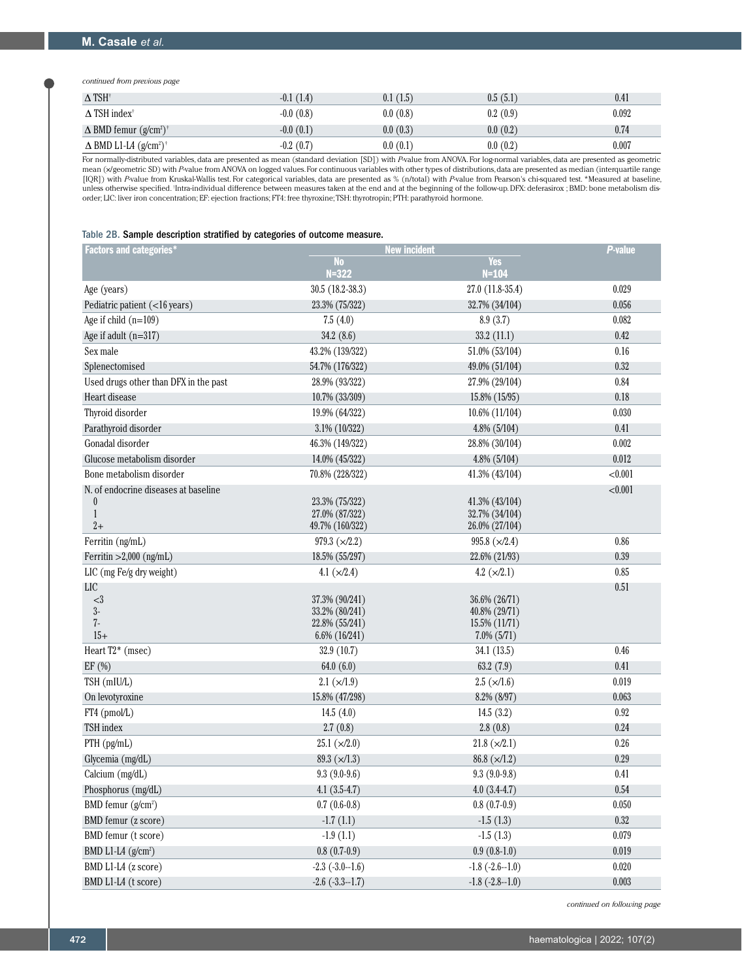*continued from previous page*

| $\Delta$ TSH <sup>+</sup>                            | $-0.1(1.4)$ | 0.1(1.5) | 0.5(5.1) | 0.41  |
|------------------------------------------------------|-------------|----------|----------|-------|
| $\Delta$ TSH index <sup>†</sup>                      | $-0.0(0.8)$ | 0.0(0.8) | 0.2(0.9) | 0.092 |
| $\Delta$ BMD femur $(g/cm^2)^+$                      | $-0.0(0.1)$ | 0.0(0.3) | 0.0(0.2) | 0.74  |
| $\Delta$ BMD L1-L4 (g/cm <sup>2</sup> ) <sup>†</sup> | $-0.2(0.7)$ | 0.0(0.1) | 0.0(0.2) | 0.007 |

For normally-distributed variables, data are presented as mean (standard deviation [SD]) with *P*-value from ANOVA. For log-normal variables, data are presented as geometric mean (x/geometric SD) with *P*-value from ANOVA on logged values. For continuous variables with other types of distributions, data are presented as median (interquartile range [IQR]) with *P*-value from Kruskal-Wallis test. For categorical variables, data are presented as % (n/total) with *P*-value from Pearson's chi-squared test. \*Measured at baseline, unless otherwise specified. Intra-individual difference between measures taken at the end and at the beginning of the follow-up. DFX: deferasirox ; BMD: bone metabolism disorder; LIC: liver iron concentration; EF: ejection fractions; FT4: free thyroxine; TSH: thyrotropin; PTH: parathyroid hormone.

#### Table 2B. Sample description stratified by categories of outcome measure.

| <b>Factors and categories*</b>                                                   |                                                                     | <b>New incident</b>                                                 |         |  |  |
|----------------------------------------------------------------------------------|---------------------------------------------------------------------|---------------------------------------------------------------------|---------|--|--|
|                                                                                  | No<br>$N = 322$                                                     | Yes<br>$N = 104$                                                    |         |  |  |
| Age (years)                                                                      | $30.5(18.2 - 38.3)$                                                 | 27.0 (11.8-35.4)                                                    | 0.029   |  |  |
| Pediatric patient (<16 years)                                                    | 23.3% (75/322)                                                      | 32.7% (34/104)                                                      | 0.056   |  |  |
| Age if child $(n=109)$                                                           | 7.5(4.0)                                                            | 8.9(3.7)                                                            | 0.082   |  |  |
| Age if adult $(n=317)$                                                           | 34.2(8.6)                                                           | 33.2(11.1)                                                          | 0.42    |  |  |
| Sex male                                                                         | 43.2% (139/322)                                                     | 51.0% (53/104)                                                      | 0.16    |  |  |
| Splenectomised                                                                   | 54.7% (176/322)                                                     | 49.0% (51/104)                                                      | 0.32    |  |  |
| Used drugs other than DFX in the past                                            | 28.9% (93/322)                                                      | 27.9% (29/104)                                                      | 0.84    |  |  |
| Heart disease                                                                    | 10.7% (33/309)                                                      | 15.8% (15/95)                                                       | 0.18    |  |  |
| Thyroid disorder                                                                 | 19.9% (64/322)                                                      | 10.6% (11/104)                                                      | 0.030   |  |  |
| Parathyroid disorder                                                             | 3.1% (10/322)                                                       | 4.8% (5/104)                                                        | 0.41    |  |  |
| Gonadal disorder                                                                 | 46.3% (149/322)                                                     | 28.8% (30/104)                                                      | 0.002   |  |  |
| Glucose metabolism disorder                                                      | 14.0% (45/322)                                                      | 4.8% (5/104)                                                        | 0.012   |  |  |
| Bone metabolism disorder                                                         | 70.8% (228/322)                                                     | 41.3% (43/104)                                                      | < 0.001 |  |  |
| N. of endocrine diseases at baseline<br>$\boldsymbol{0}$<br>$\mathbf{1}$<br>$2+$ | 23.3% (75/322)<br>27.0% (87/322)<br>49.7% (160/322)                 | 41.3% (43/104)<br>32.7% (34/104)<br>26.0% (27/104)                  | < 0.001 |  |  |
| Ferritin (ng/mL)                                                                 | 979.3 $(\times/2.2)$                                                | 995.8 $(\times/2.4)$                                                | 0.86    |  |  |
| Ferritin $>2,000$ (ng/mL)                                                        | 18.5% (55/297)                                                      | 22.6% (21/93)                                                       | 0.39    |  |  |
| LIC (mg Fe/g dry weight)                                                         | 4.1 $(x/2.4)$                                                       | 4.2 $(x/2.1)$                                                       | 0.85    |  |  |
| <b>LIC</b>                                                                       |                                                                     |                                                                     | 0.51    |  |  |
| <3<br>$3-$<br>$7-$<br>$15+$                                                      | 37.3% (90/241)<br>33.2% (80/241)<br>22.8% (55/241)<br>6.6% (16/241) | 36.6% (26/71)<br>40.8% (29/71)<br>15.5% (11/71)<br>$7.0\%$ $(5/71)$ |         |  |  |
| Heart T <sub>2</sub> * (msec)                                                    | 32.9(10.7)                                                          | 34.1 (13.5)                                                         | 0.46    |  |  |
| EF(%)                                                                            | 64.0(6.0)                                                           | 63.2(7.9)                                                           | 0.41    |  |  |
| TSH (mIU/L)                                                                      | $2.1 \times (1.9)$                                                  | $2.5 \; (\times / 1.6)$                                             | 0.019   |  |  |
| On levotyroxine                                                                  | 15.8% (47/298)                                                      | 8.2% (8/97)                                                         | 0.063   |  |  |
| FT4 (pmol/L)                                                                     | 14.5 $(4.0)$                                                        | 14.5(3.2)                                                           | 0.92    |  |  |
| TSH index                                                                        | 2.7(0.8)                                                            | 2.8(0.8)                                                            | 0.24    |  |  |
| PTH (pg/mL)                                                                      | $25.1 \; (\times/2.0)$                                              | 21.8 (x/2.1)                                                        | 0.26    |  |  |
| Glycemia (mg/dL)                                                                 | 89.3 $(\times/1.3)$                                                 | $86.8 \ (\times / 1.2)$                                             | 0.29    |  |  |
| Calcium (mg/dL)                                                                  | $9.3(9.0-9.6)$                                                      | $9.3(9.0-9.8)$                                                      | 0.41    |  |  |
| Phosphorus (mg/dL)                                                               | $4.1(3.5-4.7)$                                                      | $4.0(3.4-4.7)$                                                      | 0.54    |  |  |
| BMD femur $(g/cm2)$                                                              | $0.7(0.6-0.8)$                                                      | $0.8(0.7-0.9)$                                                      | 0.050   |  |  |
| BMD femur (z score)                                                              | $-1.7(1.1)$                                                         | $-1.5(1.3)$                                                         | 0.32    |  |  |
| BMD femur (t score)                                                              | $-1.9(1.1)$                                                         | $-1.5(1.3)$                                                         | 0.079   |  |  |
| BMD L1-L4 $(g/cm2)$                                                              | $0.8(0.7-0.9)$                                                      | $0.9(0.8-1.0)$                                                      | 0.019   |  |  |
| BMD L1-L4 (z score)                                                              | $-2.3$ $(-3.0 - 1.6)$                                               | $-1.8$ $(-2.6 - 1.0)$                                               | 0.020   |  |  |
| BMD L1-L4 (t score)                                                              | $-2.6$ $(-3.3-1.7)$                                                 | $-1.8$ $(-2.8-1.0)$                                                 | 0.003   |  |  |

*continued on following page*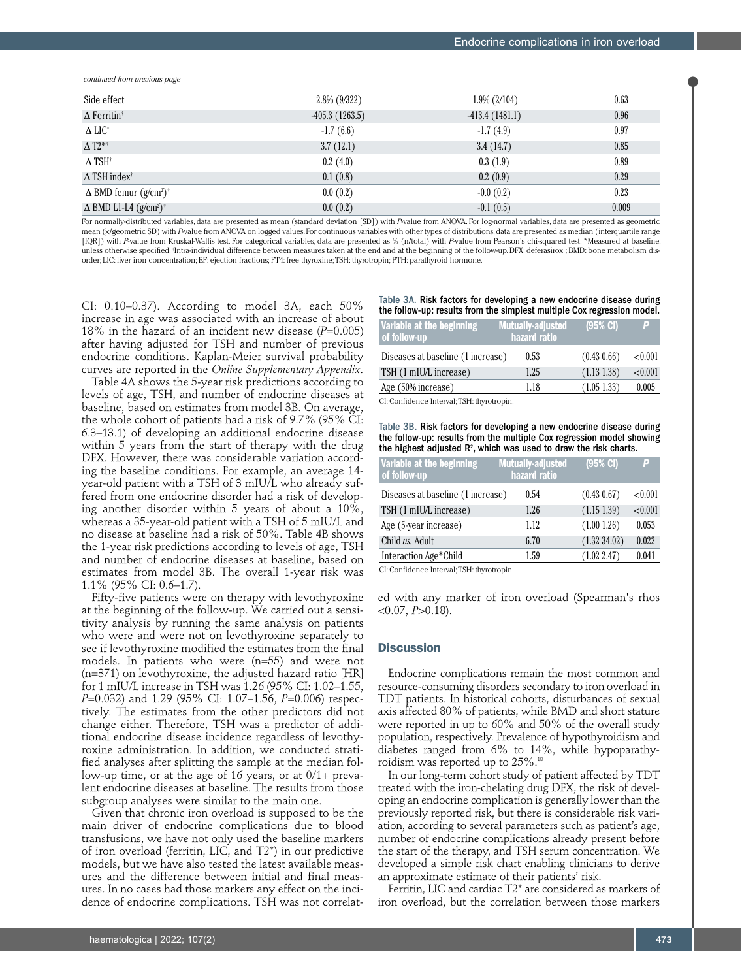*continued from previous page*

| Side effect                     | $2.8\%$ (9/322)  | $1.9\%$ (2/104)  | 0.63  |
|---------------------------------|------------------|------------------|-------|
| $\Delta$ Ferritin <sup>†</sup>  | $-405.3(1263.5)$ | $-413.4(1481.1)$ | 0.96  |
| $\Delta$ LIC <sup>+</sup>       | $-1.7(6.6)$      | $-1.7(4.9)$      | 0.97  |
| $\Delta$ T2* <sup>†</sup>       | 3.7(12.1)        | 3.4(14.7)        | 0.85  |
| $\Delta$ TSH <sup>†</sup>       | 0.2(4.0)         | 0.3(1.9)         | 0.89  |
| $\Delta$ TSH index <sup>†</sup> | 0.1(0.8)         | 0.2(0.9)         | 0.29  |
| $\Delta$ BMD femur $(g/cm^2)^+$ | 0.0(0.2)         | $-0.0(0.2)$      | 0.23  |
| $\Delta$ BMD L1-L4 $(g/cm^2)^+$ | 0.0(0.2)         | $-0.1(0.5)$      | 0.009 |

For normally-distributed variables, data are presented as mean (standard deviation [SD]) with *P*-value from ANOVA. For log-normal variables, data are presented as geometric mean (x/geometric SD) with *P*-value from ANOVA on logged values. For continuous variables with other types of distributions, data are presented as median (interquartile range [IQR]) with *P*-value from Kruskal-Wallis test. For categorical variables, data are presented as % (n/total) with *P*-value from Pearson's chi-squared test. \*Measured at baseline, unless otherwise specified. Intra-individual difference between measures taken at the end and at the beginning of the follow-up. DFX: deferasirox ; BMD: bone metabolism disorder; LIC: liver iron concentration; EF: ejection fractions; FT4: free thyroxine; TSH: thyrotropin; PTH: parathyroid hormone.

CI: 0.10–0.37). According to model 3A, each 50% increase in age was associated with an increase of about 18% in the hazard of an incident new disease (*P*=0.005) after having adjusted for TSH and number of previous endocrine conditions. Kaplan-Meier survival probability curves are reported in the *Online Supplementary Appendix*.

Table 4A shows the 5-year risk predictions according to levels of age, TSH, and number of endocrine diseases at baseline, based on estimates from model 3B. On average, the whole cohort of patients had a risk of 9.7% (95% CI: 6.3–13.1) of developing an additional endocrine disease within 5 years from the start of therapy with the drug DFX. However, there was considerable variation according the baseline conditions. For example, an average 14 year-old patient with a TSH of 3 mIU/L who already suffered from one endocrine disorder had a risk of developing another disorder within 5 years of about a 10%, whereas a 35-year-old patient with a TSH of 5 mIU/L and no disease at baseline had a risk of 50%. Table 4B shows the 1-year risk predictions according to levels of age, TSH and number of endocrine diseases at baseline, based on estimates from model 3B. The overall 1-year risk was 1.1% (95% CI: 0.6–1.7).

Fifty-five patients were on therapy with levothyroxine at the beginning of the follow-up. We carried out a sensitivity analysis by running the same analysis on patients who were and were not on levothyroxine separately to see if levothyroxine modified the estimates from the final models. In patients who were (n=55) and were not (n=371) on levothyroxine, the adjusted hazard ratio [HR] for 1 mIU/L increase in TSH was 1.26 (95% CI: 1.02–1.55, *P*=0.032) and 1.29 (95% CI: 1.07–1.56, *P*=0.006) respectively. The estimates from the other predictors did not change either. Therefore, TSH was a predictor of additional endocrine disease incidence regardless of levothyroxine administration. In addition, we conducted stratified analyses after splitting the sample at the median follow-up time, or at the age of 16 years, or at 0/1+ prevalent endocrine diseases at baseline. The results from those subgroup analyses were similar to the main one.

Given that chronic iron overload is supposed to be the main driver of endocrine complications due to blood transfusions, we have not only used the baseline markers of iron overload (ferritin, LIC, and T2\*) in our predictive models, but we have also tested the latest available measures and the difference between initial and final measures. In no cases had those markers any effect on the incidence of endocrine complications. TSH was not correlatTable 3A. Risk factors for developing a new endocrine disease during the follow-up: results from the simplest multiple Cox regression model.

| Variable at the beginning<br>of follow-up | <b>Mutually-adjusted</b><br>hazard ratio | $(95%$ CI)     | E       |
|-------------------------------------------|------------------------------------------|----------------|---------|
| Diseases at baseline (1 increase)         | 0.53                                     | (0.43, 0.66)   | < 0.001 |
| TSH (1 mIU/L increase)                    | 1.25                                     | $(1.13\;1.38)$ | < 0.001 |
| Age (50% increase)                        | 1.18                                     | $(1.05\;1.33)$ | 0.005   |
|                                           |                                          |                |         |

CI: Confidence Interval; TSH: thyrotropin.

Table 3B. Risk factors for developing a new endocrine disease during the follow-up: results from the multiple Cox regression model showing the highest adjusted  $R^2$ , which was used to draw the risk charts.

| Variable at the beginning<br>of follow-up                                                                                                                                                                                                         | <b>Mutually-adjusted</b><br>hazard ratio | $(95%$ CI)  | P       |
|---------------------------------------------------------------------------------------------------------------------------------------------------------------------------------------------------------------------------------------------------|------------------------------------------|-------------|---------|
| Diseases at baseline (1 increase)                                                                                                                                                                                                                 | 0.54                                     | (0.43 0.67) | < 0.001 |
| TSH (1 mIU/L increase)                                                                                                                                                                                                                            | 1.26                                     | (1.151.39)  | < 0.001 |
| Age (5-year increase)                                                                                                                                                                                                                             | 1.12                                     | (1.001.26)  | 0.053   |
| Child vs. Adult                                                                                                                                                                                                                                   | 6.70                                     | (1.3234.02) | 0.022   |
| Interaction Age*Child                                                                                                                                                                                                                             | 1.59                                     | (1.02 2.47) | 0.041   |
| $\overline{C}$ L $\overline{C}$ and $\overline{C}$ are equal to the second to the TCL Lemma second to the second to the second to the second to the second to the second to the second to the second to the second to the second to the second to |                                          |             |         |

CI: Confidence Interval; TSH: thyrotropin.

ed with any marker of iron overload (Spearman's rhos  $<$  0.07, *P* $>$  0.18).

# **Discussion**

Endocrine complications remain the most common and resource-consuming disorders secondary to iron overload in TDT patients. In historical cohorts, disturbances of sexual axis affected 80% of patients, while BMD and short stature were reported in up to 60% and 50% of the overall study population, respectively. Prevalence of hypothyroidism and diabetes ranged from 6% to 14%, while hypoparathyroidism was reported up to 25%.18

In our long-term cohort study of patient affected by TDT treated with the iron-chelating drug DFX, the risk of developing an endocrine complication is generally lower than the previously reported risk, but there is considerable risk variation, according to several parameters such as patient's age, number of endocrine complications already present before the start of the therapy, and TSH serum concentration. We developed a simple risk chart enabling clinicians to derive an approximate estimate of their patients' risk.

Ferritin, LIC and cardiac T2\* are considered as markers of iron overload, but the correlation between those markers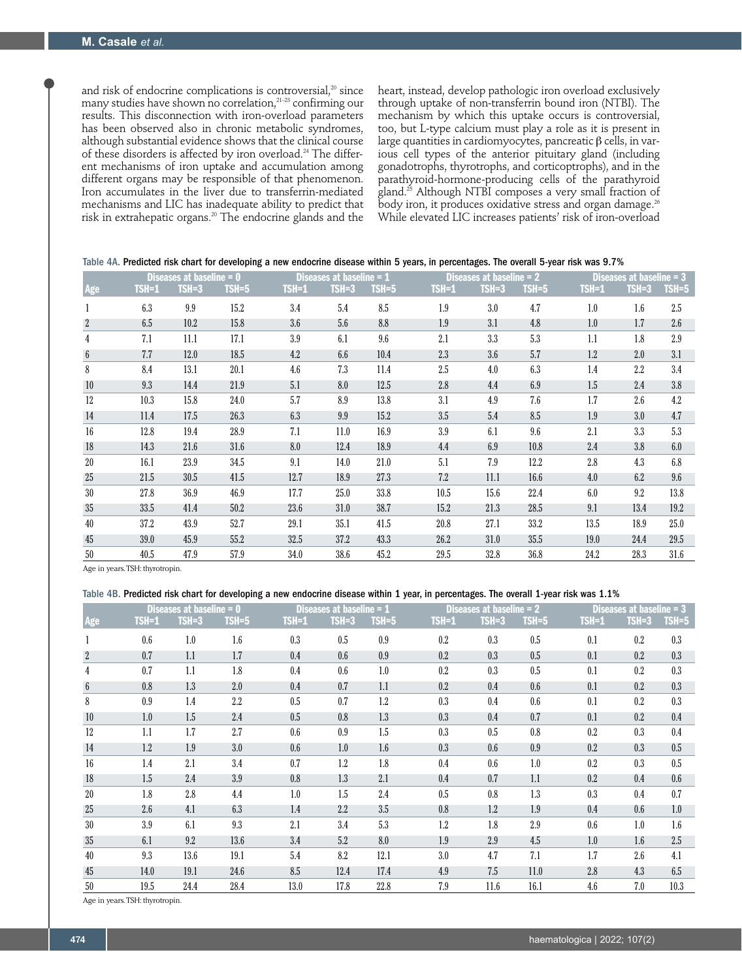and risk of endocrine complications is controversial, $20$  since many studies have shown no correlation,21–23 confirming our results. This disconnection with iron-overload parameters has been observed also in chronic metabolic syndromes, although substantial evidence shows that the clinical course of these disorders is affected by iron overload.<sup>24</sup> The different mechanisms of iron uptake and accumulation among different organs may be responsible of that phenomenon. Iron accumulates in the liver due to transferrin-mediated mechanisms and LIC has inadequate ability to predict that risk in extrahepatic organs.20 The endocrine glands and the heart, instead, develop pathologic iron overload exclusively through uptake of non-transferrin bound iron (NTBI). The mechanism by which this uptake occurs is controversial, too, but L-type calcium must play a role as it is present in large quantities in cardiomyocytes, pancreatic  $\beta$  cells, in various cell types of the anterior pituitary gland (including gonadotrophs, thyrotrophs, and corticoptrophs), and in the parathyroid-hormone-producing cells of the parathyroid gland.25 Although NTBI composes a very small fraction of body iron, it produces oxidative stress and organ damage.<sup>26</sup> While elevated LIC increases patients' risk of iron-overload

| Table 4A. Predicted risk chart for developing a new endocrine disease within 5 years, in percentages. The overall 5-year risk was 9.7% |  |
|----------------------------------------------------------------------------------------------------------------------------------------|--|
|----------------------------------------------------------------------------------------------------------------------------------------|--|

|                 | Diseases at baseline = 0 |         |         |       | <b>Diseases at basel</b><br>line = $\boldsymbol{1}$ |           |       | <b>Diseases at basell</b><br>ine = $2$ |         |              | <b>Diseases at basel</b><br>$ne = 3$ |         |  |
|-----------------|--------------------------|---------|---------|-------|-----------------------------------------------------|-----------|-------|----------------------------------------|---------|--------------|--------------------------------------|---------|--|
| Age             | TSH=1                    | $TSH=3$ | $TSH=5$ | TSH=1 | $TSH=3$                                             | $TSH = 5$ | TSH=1 | $TSH=3$                                | $TSH=5$ | <b>TSH=1</b> | $TSH=3$                              | $TSH=5$ |  |
| 1               | 6.3                      | 9.9     | 15.2    | 3.4   | 5.4                                                 | 8.5       | 1.9   | 3.0                                    | 4.7     | 1.0          | 1.6                                  | 2.5     |  |
| $\overline{2}$  | 6.5                      | 10.2    | 15.8    | 3.6   | 5.6                                                 | 8.8       | 1.9   | 3.1                                    | 4.8     | 1.0          | 1.7                                  | 2.6     |  |
| 4               | 7.1                      | 11.1    | 17.1    | 3.9   | 6.1                                                 | 9.6       | 2.1   | 3.3                                    | 5.3     | 1.1          | 1.8                                  | 2.9     |  |
| $6\phantom{1}6$ | 7.7                      | 12.0    | 18.5    | 4.2   | 6.6                                                 | 10.4      | 2.3   | 3.6                                    | 5.7     | 1.2          | 2.0                                  | 3.1     |  |
| 8               | 8.4                      | 13.1    | 20.1    | 4.6   | 7.3                                                 | 11.4      | 2.5   | 4.0                                    | 6.3     | 1.4          | $2.2\,$                              | 3.4     |  |
| 10              | 9.3                      | 14.4    | 21.9    | 5.1   | 8.0                                                 | 12.5      | 2.8   | 4.4                                    | 6.9     | 1.5          | 2.4                                  | 3.8     |  |
| 12              | 10.3                     | 15.8    | 24.0    | 5.7   | 8.9                                                 | 13.8      | 3.1   | 4.9                                    | 7.6     | 1.7          | 2.6                                  | 4.2     |  |
| 14              | 11.4                     | 17.5    | 26.3    | 6.3   | 9.9                                                 | 15.2      | 3.5   | 5.4                                    | 8.5     | 1.9          | 3.0                                  | 4.7     |  |
| 16              | 12.8                     | 19.4    | 28.9    | 7.1   | 11.0                                                | 16.9      | 3.9   | 6.1                                    | 9.6     | 2.1          | 3.3                                  | 5.3     |  |
| 18              | 14.3                     | 21.6    | 31.6    | 8.0   | 12.4                                                | 18.9      | 4.4   | 6.9                                    | 10.8    | 2.4          | 3.8                                  | 6.0     |  |
| 20              | 16.1                     | 23.9    | 34.5    | 9.1   | 14.0                                                | 21.0      | 5.1   | 7.9                                    | 12.2    | 2.8          | 4.3                                  | 6.8     |  |
| 25              | 21.5                     | 30.5    | 41.5    | 12.7  | 18.9                                                | 27.3      | 7.2   | 11.1                                   | 16.6    | 4.0          | 6.2                                  | 9.6     |  |
| 30              | 27.8                     | 36.9    | 46.9    | 17.7  | 25.0                                                | 33.8      | 10.5  | 15.6                                   | 22.4    | 6.0          | 9.2                                  | 13.8    |  |
| 35              | 33.5                     | 41.4    | 50.2    | 23.6  | 31.0                                                | 38.7      | 15.2  | 21.3                                   | 28.5    | 9.1          | 13.4                                 | 19.2    |  |
| 40              | 37.2                     | 43.9    | 52.7    | 29.1  | 35.1                                                | 41.5      | 20.8  | 27.1                                   | 33.2    | 13.5         | 18.9                                 | 25.0    |  |
| 45              | 39.0                     | 45.9    | 55.2    | 32.5  | 37.2                                                | 43.3      | 26.2  | 31.0                                   | 35.5    | 19.0         | 24.4                                 | 29.5    |  |
| 50              | 40.5                     | 47.9    | 57.9    | 34.0  | 38.6                                                | 45.2      | 29.5  | 32.8                                   | 36.8    | 24.2         | 28.3                                 | 31.6    |  |

Age in years. TSH: thyrotropin.

#### Table 4B. Predicted risk chart for developing a new endocrine disease within 1 year, in percentages. The overall 1-year risk was 1.1%

|                 |         | Diseases at baseline $= 0$ |                  |         | Diseases at baseline $= 1$ |         |         | Diseases at baseline = 2 |         |         | Diseases at baseline $=$ 3 |         |
|-----------------|---------|----------------------------|------------------|---------|----------------------------|---------|---------|--------------------------|---------|---------|----------------------------|---------|
| Age             | $TSH=1$ | $TSH=3$                    | $TSH=5$          | $TSH=1$ | $TSH=3$                    | $TSH=5$ | $TSH=1$ | $TSH=3$                  | $TSH=5$ | $TSH=1$ | $TSH=3$                    | $TSH=5$ |
|                 | 0.6     | 1.0                        | $1.6\phantom{0}$ | 0.3     | 0.5                        | 0.9     | 0.2     | 0.3                      | 0.5     | 0.1     | 0.2                        | 0.3     |
| $\overline{2}$  | 0.7     | 1.1                        | 1.7              | 0.4     | 0.6                        | 0.9     | 0.2     | 0.3                      | 0.5     | 0.1     | 0.2                        | 0.3     |
| 4               | 0.7     | 1.1                        | 1.8              | 0.4     | 0.6                        | 1.0     | 0.2     | 0.3                      | 0.5     | 0.1     | 0.2                        | 0.3     |
| $6\phantom{.}6$ | 0.8     | 1.3                        | 2.0              | 0.4     | 0.7                        | 1.1     | 0.2     | 0.4                      | 0.6     | 0.1     | 0.2                        | 0.3     |
| 8               | 0.9     | 1.4                        | 2.2              | 0.5     | 0.7                        | 1.2     | 0.3     | 0.4                      | 0.6     | 0.1     | 0.2                        | 0.3     |
| 10              | 1.0     | 1.5                        | 2.4              | 0.5     | 0.8                        | 1.3     | 0.3     | 0.4                      | 0.7     | 0.1     | 0.2                        | 0.4     |
| 12              | 1.1     | 1.7                        | 2.7              | 0.6     | 0.9                        | 1.5     | 0.3     | 0.5                      | 0.8     | 0.2     | 0.3                        | 0.4     |
| 14              | 1.2     | 1.9                        | 3.0              | 0.6     | 1.0                        | 1.6     | 0.3     | 0.6                      | 0.9     | 0.2     | 0.3                        | 0.5     |
| 16              | 1.4     | 2.1                        | 3.4              | 0.7     | 1.2                        | 1.8     | 0.4     | 0.6                      | 1.0     | 0.2     | 0.3                        | 0.5     |
| 18              | 1.5     | 2.4                        | 3.9              | 0.8     | 1.3                        | 2.1     | 0.4     | 0.7                      | 1.1     | 0.2     | 0.4                        | 0.6     |
| 20              | 1.8     | 2.8                        | 4.4              | 1.0     | 1.5                        | 2.4     | 0.5     | 0.8                      | 1.3     | 0.3     | 0.4                        | 0.7     |
| 25              | 2.6     | 4.1                        | 6.3              | 1.4     | 2.2                        | 3.5     | 0.8     | 1.2                      | 1.9     | 0.4     | 0.6                        | 1.0     |
| 30              | 3.9     | 6.1                        | 9.3              | 2.1     | 3.4                        | 5.3     | 1.2     | 1.8                      | 2.9     | 0.6     | 1.0                        | 1.6     |
| 35              | 6.1     | 9.2                        | 13.6             | 3.4     | 5.2                        | 8.0     | 1.9     | 2.9                      | 4.5     | 1.0     | 1.6                        | 2.5     |
| 40              | 9.3     | 13.6                       | 19.1             | 5.4     | 8.2                        | 12.1    | 3.0     | 4.7                      | 7.1     | 1.7     | 2.6                        | 4.1     |
| 45              | 14.0    | 19.1                       | 24.6             | 8.5     | 12.4                       | 17.4    | 4.9     | 7.5                      | 11.0    | 2.8     | 4.3                        | 6.5     |
| 50              | 19.5    | 24.4                       | 28.4             | 13.0    | 17.8                       | 22.8    | 7.9     | 11.6                     | 16.1    | 4.6     | 7.0                        | 10.3    |

Age in years. TSH: thyrotropin.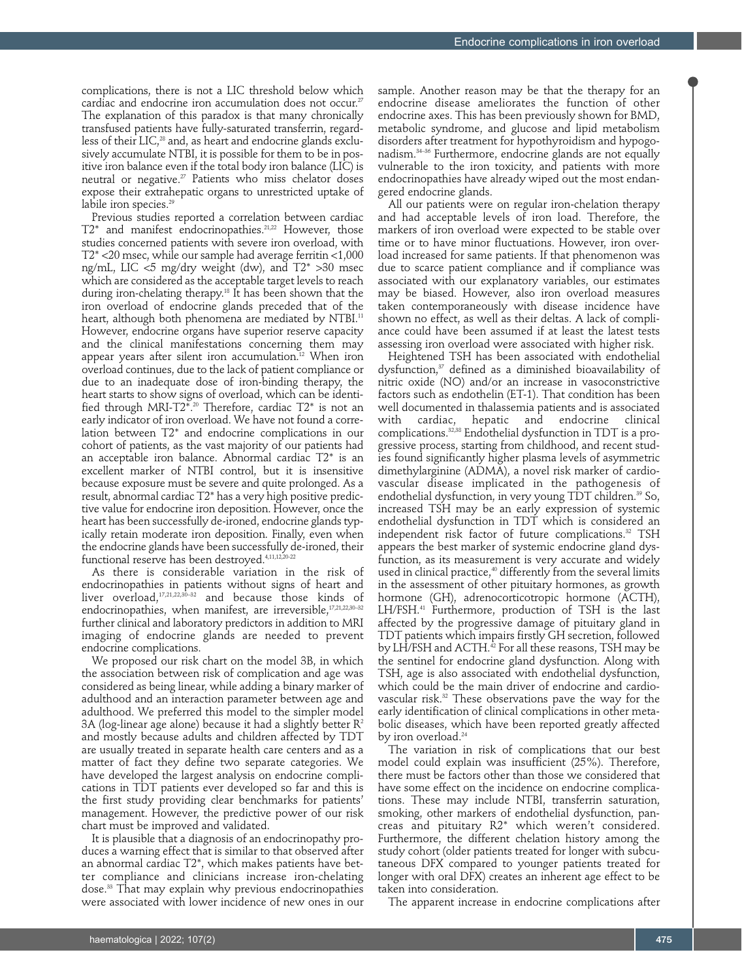complications, there is not a LIC threshold below which cardiac and endocrine iron accumulation does not occur.<sup>27</sup> The explanation of this paradox is that many chronically transfused patients have fully-saturated transferrin, regardless of their LIC,<sup>28</sup> and, as heart and endocrine glands exclusively accumulate NTBI, it is possible for them to be in positive iron balance even if the total body iron balance (LIC) is neutral or negative. $27$  Patients who miss chelator doses expose their extrahepatic organs to unrestricted uptake of labile iron species.<sup>29</sup>

Previous studies reported a correlation between cardiac T2\* and manifest endocrinopathies.<sup>21,22</sup> However, those studies concerned patients with severe iron overload, with T2\* <20 msec, while our sample had average ferritin <1,000 ng/mL, LIC <5 mg/dry weight (dw), and T2\* >30 msec which are considered as the acceptable target levels to reach during iron-chelating therapy.<sup>18</sup> It has been shown that the iron overload of endocrine glands preceded that of the heart, although both phenomena are mediated by NTBI.<sup>11</sup> However, endocrine organs have superior reserve capacity and the clinical manifestations concerning them may appear years after silent iron accumulation.<sup>12</sup> When iron overload continues, due to the lack of patient compliance or due to an inadequate dose of iron-binding therapy, the heart starts to show signs of overload, which can be identified through MRI-T2<sup> $\bar{x}$ </sup>.<sup>20</sup> Therefore, cardiac T2<sup>\*</sup> is not an early indicator of iron overload. We have not found a correlation between T2\* and endocrine complications in our cohort of patients, as the vast majority of our patients had an acceptable iron balance. Abnormal cardiac T2\* is an excellent marker of NTBI control, but it is insensitive because exposure must be severe and quite prolonged. As a result, abnormal cardiac T2\* has a very high positive predictive value for endocrine iron deposition. However, once the heart has been successfully de-ironed, endocrine glands typically retain moderate iron deposition. Finally, even when the endocrine glands have been successfully de-ironed, their functional reserve has been destroyed.4,11,12,20-22

As there is considerable variation in the risk of endocrinopathies in patients without signs of heart and liver overload, $17,21,22,30-32$  and because those kinds of endocrinopathies, when manifest, are irreversible,<sup>17,21,22,30-32</sup> further clinical and laboratory predictors in addition to MRI imaging of endocrine glands are needed to prevent endocrine complications.

We proposed our risk chart on the model 3B, in which the association between risk of complication and age was considered as being linear, while adding a binary marker of adulthood and an interaction parameter between age and adulthood. We preferred this model to the simpler model 3A (log-linear age alone) because it had a slightly better  $\mathbb{R}^2$ and mostly because adults and children affected by TDT are usually treated in separate health care centers and as a matter of fact they define two separate categories. We have developed the largest analysis on endocrine complications in TDT patients ever developed so far and this is the first study providing clear benchmarks for patients' management. However, the predictive power of our risk chart must be improved and validated.

It is plausible that a diagnosis of an endocrinopathy produces a warning effect that is similar to that observed after an abnormal cardiac T2\*, which makes patients have better compliance and clinicians increase iron-chelating dose.33 That may explain why previous endocrinopathies were associated with lower incidence of new ones in our

sample. Another reason may be that the therapy for an endocrine disease ameliorates the function of other endocrine axes. This has been previously shown for BMD, metabolic syndrome, and glucose and lipid metabolism disorders after treatment for hypothyroidism and hypogonadism.34–36 Furthermore, endocrine glands are not equally vulnerable to the iron toxicity, and patients with more endocrinopathies have already wiped out the most endangered endocrine glands.

All our patients were on regular iron-chelation therapy and had acceptable levels of iron load. Therefore, the markers of iron overload were expected to be stable over time or to have minor fluctuations. However, iron overload increased for same patients. If that phenomenon was due to scarce patient compliance and if compliance was associated with our explanatory variables, our estimates may be biased. However, also iron overload measures taken contemporaneously with disease incidence have shown no effect, as well as their deltas. A lack of compliance could have been assumed if at least the latest tests assessing iron overload were associated with higher risk.

Heightened TSH has been associated with endothelial dysfunction,<sup>37</sup> defined as a diminished bioavailability of nitric oxide (NO) and/or an increase in vasoconstrictive factors such as endothelin (ET-1). That condition has been well documented in thalassemia patients and is associated with cardiac, hepatic and endocrine clinical complications.<sup>32,38</sup> Endothelial dysfunction in TDT is a progressive process, starting from childhood, and recent studies found significantly higher plasma levels of asymmetric dimethylarginine (ADMA), a novel risk marker of cardiovascular disease implicated in the pathogenesis of endothelial dysfunction, in very young TDT children.<sup>39</sup> So, increased TSH may be an early expression of systemic endothelial dysfunction in TDT which is considered an independent risk factor of future complications.<sup>32</sup> TSH appears the best marker of systemic endocrine gland dysfunction, as its measurement is very accurate and widely used in clinical practice,<sup>40</sup> differently from the several limits in the assessment of other pituitary hormones, as growth hormone (GH), adrenocorticotropic hormone (ACTH), LH/FSH.41 Furthermore, production of TSH is the last affected by the progressive damage of pituitary gland in TDT patients which impairs firstly GH secretion, followed by LH/FSH and ACTH.<sup>42</sup> For all these reasons, TSH may be the sentinel for endocrine gland dysfunction. Along with TSH, age is also associated with endothelial dysfunction, which could be the main driver of endocrine and cardiovascular risk.<sup>32</sup> These observations pave the way for the early identification of clinical complications in other metabolic diseases, which have been reported greatly affected by iron overload.<sup>24</sup>

The variation in risk of complications that our best model could explain was insufficient (25%). Therefore, there must be factors other than those we considered that have some effect on the incidence on endocrine complications. These may include NTBI, transferrin saturation, smoking, other markers of endothelial dysfunction, pancreas and pituitary R2\* which weren't considered. Furthermore, the different chelation history among the study cohort (older patients treated for longer with subcutaneous DFX compared to younger patients treated for longer with oral DFX) creates an inherent age effect to be taken into consideration.

The apparent increase in endocrine complications after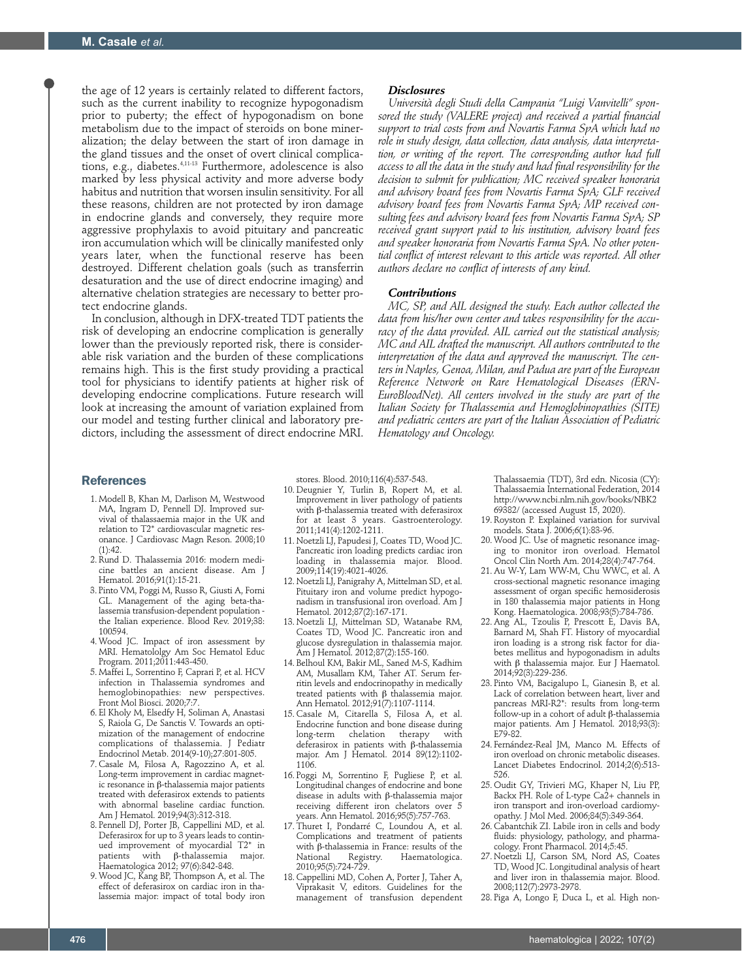the age of 12 years is certainly related to different factors, such as the current inability to recognize hypogonadism prior to puberty; the effect of hypogonadism on bone metabolism due to the impact of steroids on bone mineralization; the delay between the start of iron damage in the gland tissues and the onset of overt clinical complications, e.g., diabetes.4,11-13 Furthermore, adolescence is also marked by less physical activity and more adverse body habitus and nutrition that worsen insulin sensitivity. For all these reasons, children are not protected by iron damage in endocrine glands and conversely, they require more aggressive prophylaxis to avoid pituitary and pancreatic iron accumulation which will be clinically manifested only years later, when the functional reserve has been destroyed. Different chelation goals (such as transferrin desaturation and the use of direct endocrine imaging) and alternative chelation strategies are necessary to better protect endocrine glands.

In conclusion, although in DFX-treated TDT patients the risk of developing an endocrine complication is generally lower than the previously reported risk, there is considerable risk variation and the burden of these complications remains high. This is the first study providing a practical tool for physicians to identify patients at higher risk of developing endocrine complications. Future research will look at increasing the amount of variation explained from our model and testing further clinical and laboratory predictors, including the assessment of direct endocrine MRI.

#### *Disclosures*

*Università degli Studi della Campania "Luigi Vanvitelli" sponsored the study (VALERE project) and received a partial financial support to trial costs from and Novartis Farma SpA which had no role in study design, data collection, data analysis, data interpretation, or writing of the report. The corresponding author had full access to all the data in the study and had final responsibility for the decision to submit for publication; MC received speaker honoraria and advisory board fees from Novartis Farma SpA; GLF received advisory board fees from Novartis Farma SpA; MP received consulting fees and advisory board fees from Novartis Farma SpA; SP received grant support paid to his institution, advisory board fees and speaker honoraria from Novartis Farma SpA. No other potential conflict of interest relevant to this article was reported. All other authors declare no conflict of interests of any kind.* 

#### *Contributions*

*MC, SP, and AIL designed the study. Each author collected the data from his/her own center and takes responsibility for the accu*racy of the data provided. AIL carried out the statistical analysis; *MC and AIL drafted the manuscript. All authors contributed to the interpretation of the data and approved the manuscript. The centers in Naples, Genoa, Milan, and Padua are part of the European Reference Network on Rare Hematological Diseases (ERN-EuroBloodNet). All centers involved in the study are part of the Italian Society for Thalassemia and Hemoglobinopathies (SITE) and pediatric centers are part of the Italian Association of Pediatric Hematology and Oncology.* 

#### **References**

- 1. Modell B, Khan M, Darlison M, Westwood MA, Ingram D, Pennell DJ. Improved survival of thalassaemia major in the UK and relation to T2\* cardiovascular magnetic resonance. J Cardiovasc Magn Reson. 2008;10  $(1):42.$
- 2. Rund D. Thalassemia 2016: modern medicine battles an ancient disease. Am J Hematol. 2016;91(1):15-21.
- 3. Pinto VM, Poggi M, Russo R, Giusti A, Forni GL. Management of the aging beta-thalassemia transfusion-dependent population the Italian experience. Blood Rev. 2019;38: 100594.
- 4. Wood JC. Impact of iron assessment by MRI. Hematololgy Am Soc Hematol Educ Program. 2011;2011:443-450.
- 5. Maffei L, Sorrentino F, Caprari P, et al. HCV infection in Thalassemia syndromes and hemoglobinopathies: new perspectives. Front Mol Biosci. 2020;7:7.
- 6. El Kholy M, Elsedfy H, Soliman A, Anastasi S, Raiola G, De Sanctis V. Towards an optimization of the management of endocrine complications of thalassemia. J Pediatr Endocrinol Metab. 2014(9-10);27:801-805.
- 7. Casale M, Filosa A, Ragozzino A, et al. Long-term improvement in cardiac magnetic resonance in  $β$ -thalassemia major patients treated with deferasirox extends to patients with abnormal baseline cardiac function. Am J Hematol. 2019;94(3):312-318.
- 8. Pennell DJ, Porter JB, Cappellini MD, et al. Deferasirox for up to 3 years leads to continued improvement of myocardial T2\* in  $p$ atients with  $\beta$ -thalassemia major. Haematologica 2012; 97(6):842-848.
- 9. Wood JC, Kang BP, Thompson A, et al. The effect of deferasirox on cardiac iron in thalassemia major: impact of total body iron

stores. Blood. 2010;116(4):537-543.

- 10. Deugnier Y, Turlin B, Ropert M, et al. Improvement in liver pathology of patients with  $\beta$ -thalassemia treated with deferasirox for at least 3 years. Gastroenterology. 2011;141(4):1202-1211.
- 11. Noetzli LJ, Papudesi J, Coates TD, Wood JC. Pancreatic iron loading predicts cardiac iron loading in thalassemia major. Blood. 2009;114(19):4021-4026.
- 12. Noetzli LJ, Panigrahy A, Mittelman SD, et al. Pituitary iron and volume predict hypogonadism in transfusional iron overload. Am J Hematol. 2012;87(2):167-171.
- 13. Noetzli LJ, Mittelman SD, Watanabe RM, Coates TD, Wood JC. Pancreatic iron and glucose dysregulation in thalassemia major. Am J Hematol. 2012;87(2):155-160.
- 14. Belhoul KM, Bakir ML, Saned M-S, Kadhim AM, Musallam KM, Taher AT. Serum ferritin levels and endocrinopathy in medically treated patients with  $\beta$  thalassemia major. Ann Hematol. 2012;91(7):1107-1114.
- 15. Casale M, Citarella S, Filosa A, et al. Endocrine function and bone disease during long-term chelation therapy with deferasirox in patients with  $\beta$ -thalassemia major. Am J Hematol. 2014 89(12):1102- 1106.
- 16. Poggi M, Sorrentino F, Pugliese P, et al. Longitudinal changes of endocrine and bone disease in adults with  $\beta$ -thalassemia major receiving different iron chelators over 5 years. Ann Hematol. 2016;95(5):757-763.
- 17. Thuret I, Pondarré C, Loundou A, et al. Complications and treatment of patients with  $\beta$ -thalassemia in France: results of the<br>National Registry. Haematologica. Haematologica. 2010;95(5):724-729.
- 18. Cappellini MD, Cohen A, Porter J, Taher A, Viprakasit V, editors. Guidelines for the management of transfusion dependent

Thalassaemia (TDT), 3rd edn. Nicosia (CY): Thalassaemia International Federation, 2014 http://www.ncbi.nlm.nih.gov/books/NBK2 69382/ (accessed August 15, 2020).

- 19. Royston P. Explained variation for survival models. Stata J. 2006;6(1):83-96.
- 20. Wood JC. Use of magnetic resonance imaging to monitor iron overload. Hematol Oncol Clin North Am. 2014;28(4):747-764.
- 21. Au W-Y, Lam WW-M, Chu WWC, et al. A cross-sectional magnetic resonance imaging assessment of organ specific hemosiderosis in 180 thalassemia major patients in Hong Kong. Haematologica. 2008;93(5):784-786.
- 22. Ang AL, Tzoulis P, Prescott E, Davis BA, Barnard M, Shah FT. History of myocardial iron loading is a strong risk factor for diabetes mellitus and hypogonadism in adults with  $\beta$  thalassemia major. Eur J Haematol. 2014;92(3):229-236.
- 23. Pinto VM, Bacigalupo L, Gianesin B, et al. Lack of correlation between heart, liver and pancreas MRI-R2\*: results from long-term follow-up in a cohort of adult  $\beta$ -thalassemia major patients. Am J Hematol. 2018;93(3): E79-82.
- 24. Fernández-Real JM, Manco M. Effects of iron overload on chronic metabolic diseases. Lancet Diabetes Endocrinol. 2014;2(6):513- 526.
- 25. Oudit GY, Trivieri MG, Khaper N, Liu PP, Backx PH. Role of L-type Ca2+ channels in iron transport and iron-overload cardiomyopathy. J Mol Med. 2006;84(5):349-364.
- 26. Cabantchik ZI. Labile iron in cells and body fluids: physiology, pathology, and pharmacology. Front Pharmacol. 2014;5:45.
- 27. Noetzli LJ, Carson SM, Nord AS, Coates TD, Wood JC. Longitudinal analysis of heart and liver iron in thalassemia major. Blood. 2008;112(7):2973-2978.

 <sup>28.</sup> Piga A, Longo F, Duca L, et al. High non-